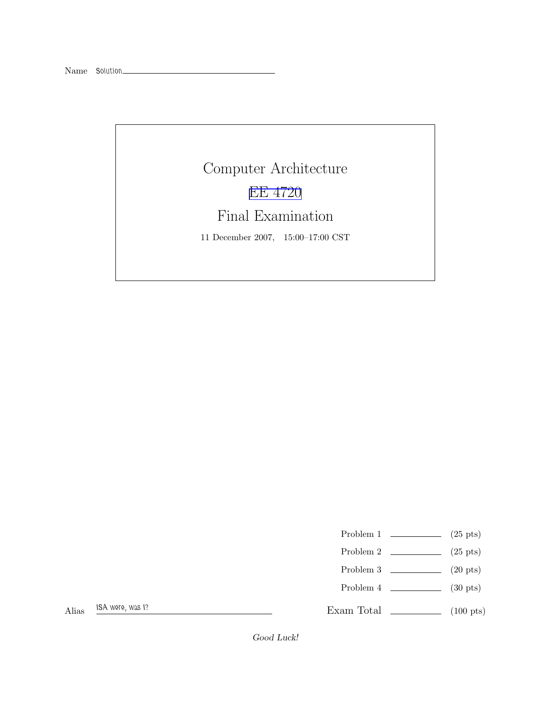## Computer Architecture [EE 4720](http://www.ece.lsu.edu/ee4720/) Final Examination 11 December 2007, 15:00–17:00 CST

- Problem 1  $\qquad \qquad (25 \text{ pts})$
- Problem 2  $\qquad \qquad (25 \text{ pts})$
- Problem 3  $\qquad \qquad$  (20 pts)
- Problem 4 (30 pts)

Exam Total \_\_\_\_\_\_\_\_\_\_\_\_\_ (100 pts)

Good Luck!

Alias ISA were, was I?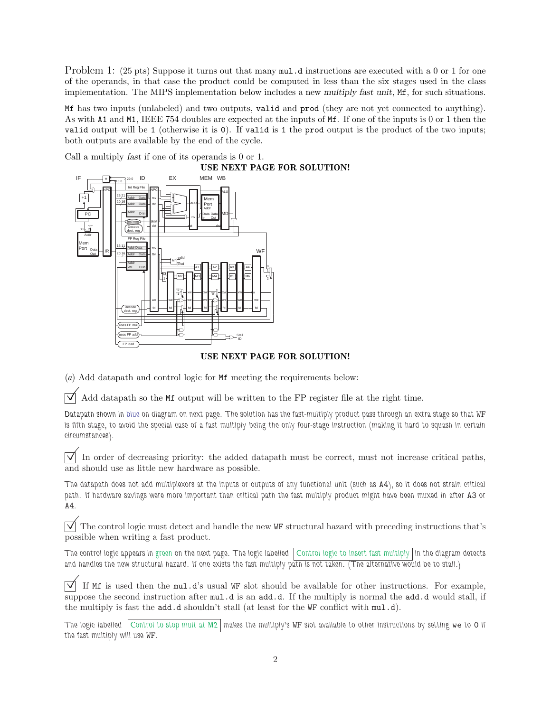Problem 1: (25 pts) Suppose it turns out that many  $mul.d$  instructions are executed with a 0 or 1 for one of the operands, in that case the product could be computed in less than the six stages used in the class implementation. The MIPS implementation below includes a new multiply fast unit, Mf, for such situations.

Mf has two inputs (unlabeled) and two outputs, valid and prod (they are not yet connected to anything). As with A1 and M1, IEEE 754 doubles are expected at the inputs of Mf. If one of the inputs is 0 or 1 then the valid output will be 1 (otherwise it is 0). If valid is 1 the prod output is the product of the two inputs; both outputs are available by the end of the cycle.

Call a multiply fast if one of its operands is 0 or 1.



## USE NEXT PAGE FOR SOLUTION!

(a) Add datapath and control logic for Mf meeting the requirements below:

 $\forall$  Add datapath so the Mf output will be written to the FP register file at the right time.

Datapath shown in blue on diagram on next page. The solution has the fast-multiply product pass through an extra stage so that WF is fifth stage, to avoid the special case of a fast multiply being the only four-stage instruction (making it hard to squash in certain circumstances).

 $\overline{\vee}$  In order of decreasing priority: the added datapath must be correct, must not increase critical paths, and should use as little new hardware as possible.

The datapath does not add multiplexors at the inputs or outputs of any functional unit (such as A4), so it does not strain critical path. If hardware savings were more important than critical path the fast multiply product might have been muxed in after A3 or A4.

 $\triangledown$  The control logic must detect and handle the new WF structural hazard with preceding instructions that's possible when writing a fast product.

The control logic appears in green on the next page. The logic labelled Control logic to insert fast multiply in the diagram detects and handles the new structural hazard. If one exists the fast multiply path is not taken. (The alternative would be to stall.)

 $\overrightarrow{\mathcal{A}}$  If Mf is used then the mul.d's usual WF slot should be available for other instructions. For example, suppose the second instruction after  $mu.d$  is an add.d. If the multiply is normal the add.d would stall, if the multiply is fast the add.d shouldn't stall (at least for the WF conflict with mul.d).

The logic labelled  $\vert$  Control to stop mult at M2  $\vert$  makes the multiply's WF slot available to other instructions by setting we to 0 if the fast multiply will use WF.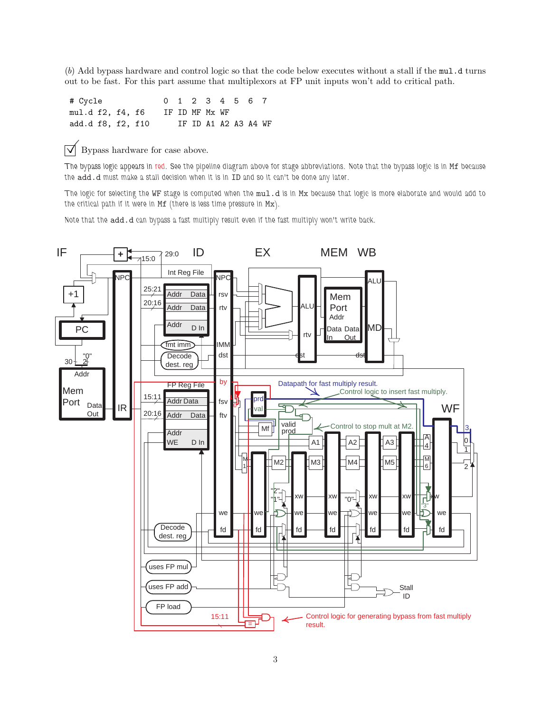(b) Add bypass hardware and control logic so that the code below executes without a stall if the mul.d turns out to be fast. For this part assume that multiplexors at FP unit inputs won't add to critical path.

# Cycle 0 1 2 3 4 5 6 7 mul.d f2, f4, f6 IF ID MF Mx WF add.d f8, f2, f10 IF ID A1 A2 A3 A4 WF

 $\triangledown$  Bypass hardware for case above.

The bypass logic appears in red. See the pipeline diagram above for stage abbreviations. Note that the bypass logic is in Mf because the add.d must make a stall decision when it is in ID and so it can't be done any later.

The logic for selecting the WF stage is computed when the mul.d is in Mx because that logic is more elaborate and would add to the critical path if it were in Mf (there is less time pressure in Mx).

Note that the add.d can bypass a fast multiply result even if the fast multiply won't write back.

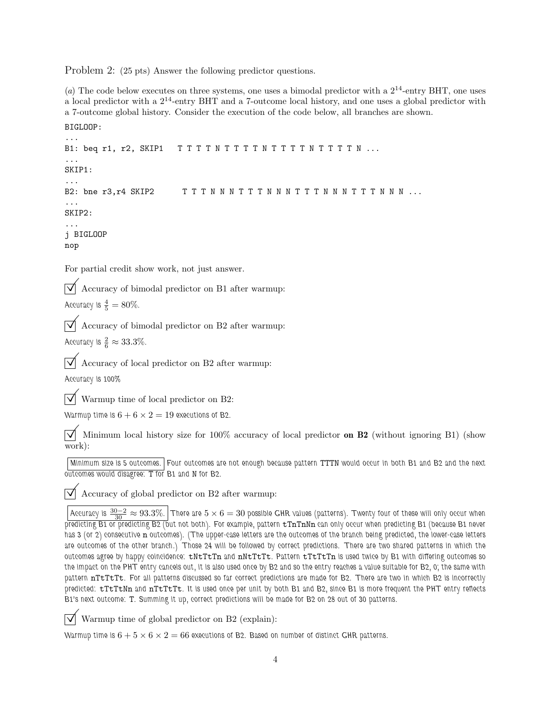Problem 2: (25 pts) Answer the following predictor questions.

(a) The code below executes on three systems, one uses a bimodal predictor with a  $2^{14}$ -entry BHT, one uses a local predictor with a  $2^{14}$ -entry BHT and a 7-outcome local history, and one uses a global predictor with a 7-outcome global history. Consider the execution of the code below, all branches are shown.

```
...
B1: beq r1, r2, SKIP1 TTTTNTTTTNTTTTNTTTN...
...
SKIP1:
...
B2: bne r3,r4 SKIP2 T T T N N N T T T N N N T T T N N N T T T N N N ...
...
SKIP2:
...
j BIGLOOP
nop
```
For partial credit show work, not just answer.

 $\triangledown$  Accuracy of bimodal predictor on B1 after warmup:

Accuracy is  $\frac{4}{5} = 80\%.$ 

BIGLOOP:

 $\triangledown$  Accuracy of bimodal predictor on B2 after warmup:

Accuracy is  $\frac{2}{6} \approx 33.3\%$ .

Accuracy of local predictor on B2 after warmup:

Accuracy is 100%

 $\triangledown$  Warmup time of local predictor on B2:

Warmup time is  $6 + 6 \times 2 = 19$  executions of B2.

 $\sqrt{\phantom{a}}$  Minimum local history size for 100% accuracy of local predictor **on B2** (without ignoring B1) (show work):

Minimum size is 5 outcomes. Four outcomes are not enough because pattern TTTN would occur in both B1 and B2 and the next outcomes would disagree: T for B1 and N for B2.

 $\sqrt{\phantom{a}}$  Accuracy of global predictor on B2 after warmup:

Accuracy is  $\frac{30-2}{30}\approx93.3\%$ .  $\big\vert$ There are  $5\times6=30$  possible GHR values (patterns). Twenty four of these will only occur when predicting B1 or predicting B2 (but not both). For example, pattern  $tTnTnNn$  can only occur when predicting B1 (because B1 never has 3 (or 2) consecutive n outcomes). (The upper-case letters are the outcomes of the branch being predicted, the lower-case letters are outcomes of the other branch.) Those 24 will be followed by correct predictions. There are two shared patterns in which the outcomes agree by happy coincidence: tNtTtTn and nNtTtTt. Pattern tTtTtTn is used twice by B1 with differing outcomes so the impact on the PHT entry cancels out, it is also used once by B2 and so the entry reaches a value suitable for B2, 0; the same with pattern nTtTtTt. For all patterns discussed so far correct predictions are made for B2. There are two in which B2 is incorrectly predicted: tTtTtNn and nTtTtTt. It is used once per unit by both B1 and B2, since B1 is more frequent the PHT entry reflects B1's next outcome: T. Summing it up, correct predictions will be made for B2 on 28 out of 30 patterns.

 $\triangledown$  Warmup time of global predictor on B2 (explain):

Warmup time is  $6 + 5 \times 6 \times 2 = 66$  executions of B2. Based on number of distinct GHR patterns.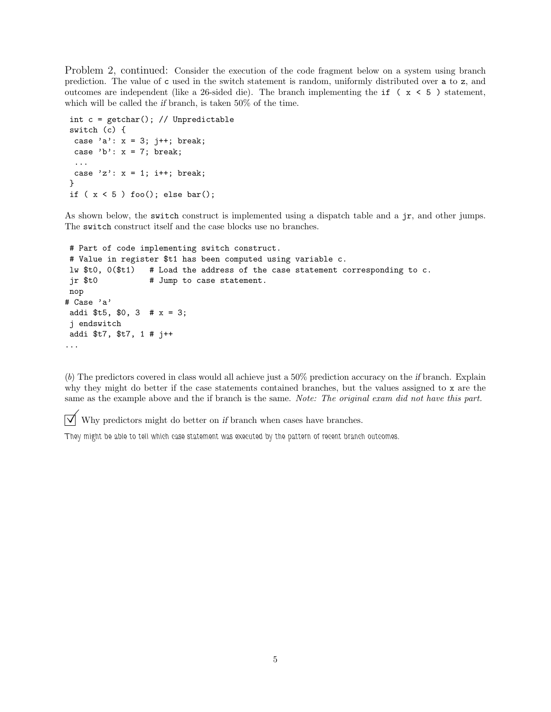Problem 2, continued: Consider the execution of the code fragment below on a system using branch prediction. The value of c used in the switch statement is random, uniformly distributed over a to z, and outcomes are independent (like a 26-sided die). The branch implementing the if  $(x < 5)$  statement, which will be called the if branch, is taken 50% of the time.

```
int c = getchar(); // Unpredictable
switch (c) {
 case 'a': x = 3; j++; break;
 case 'b': x = 7; break;
 ...
 case 'z': x = 1; i++; break;
}
if (x < 5) foo(); else bar();
```
As shown below, the switch construct is implemented using a dispatch table and a jr, and other jumps. The switch construct itself and the case blocks use no branches.

```
# Part of code implementing switch construct.
# Value in register $t1 has been computed using variable c.
lw $t0, 0($t1) # Load the address of the case statement corresponding to c.
jr $t0 # Jump to case statement.
nop
# Case 'a'
addi t5, 0, 3 # x = 3;
j endswitch
addi $t7, $t7, 1 # j++
...
```
(b) The predictors covered in class would all achieve just a 50% prediction accuracy on the if branch. Explain why they might do better if the case statements contained branches, but the values assigned to x are the same as the example above and the if branch is the same. Note: The original exam did not have this part.

 $\triangledown$  Why predictors might do better on if branch when cases have branches.

They might be able to tell which case statement was executed by the pattern of recent branch outcomes.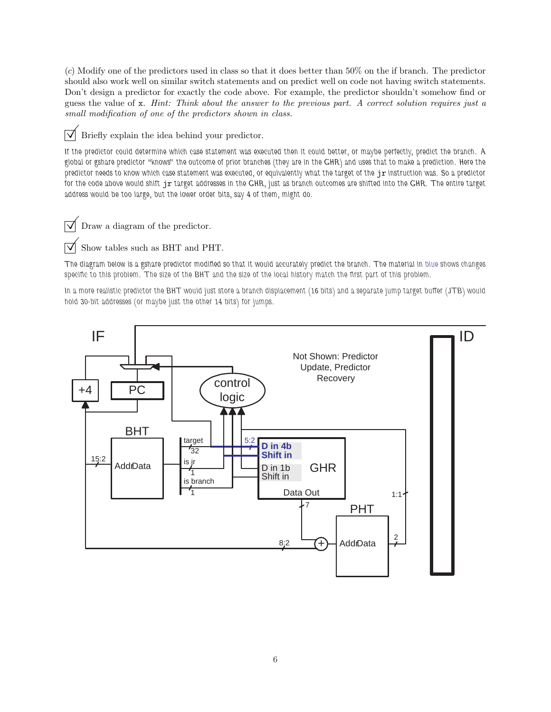(c) Modify one of the predictors used in class so that it does better than 50% on the if branch. The predictor should also work well on similar switch statements and on predict well on code not having switch statements. Don't design a predictor for exactly the code above. For example, the predictor shouldn't somehow find or guess the value of x. Hint: Think about the answer to the previous part. A correct solution requires just a small modification of one of the predictors shown in class.

 $\triangledown$  Briefly explain the idea behind your predictor.

If the predictor could determine which case statement was executed then it could better, or maybe perfectly, predict the branch. A global or gshare predictor "knows" the outcome of prior branches (they are in the GHR) and uses that to make a prediction. Here the predictor needs to know which case statement was executed, or equivalently what the target of the jr instruction was. So a predictor for the code above would shift jr target addresses in the GHR, just as branch outcomes are shifted into the GHR. The entire target address would be too large, but the lower order bits, say 4 of them, might do.

 $\triangledown$  Draw a diagram of the predictor.

 $\triangledown$  Show tables such as BHT and PHT.

The diagram below is a gshare predictor modified so that it would accurately predict the branch. The material in blue shows changes specific to this problem. The size of the BHT and the size of the local history match the first part of this problem.

In a more realistic predictor the BHT would just store a branch displacement (16 bits) and a separate jump target buffer (JTB) would hold 30-bit addresses (or maybe just the other 14 bits) for jumps.

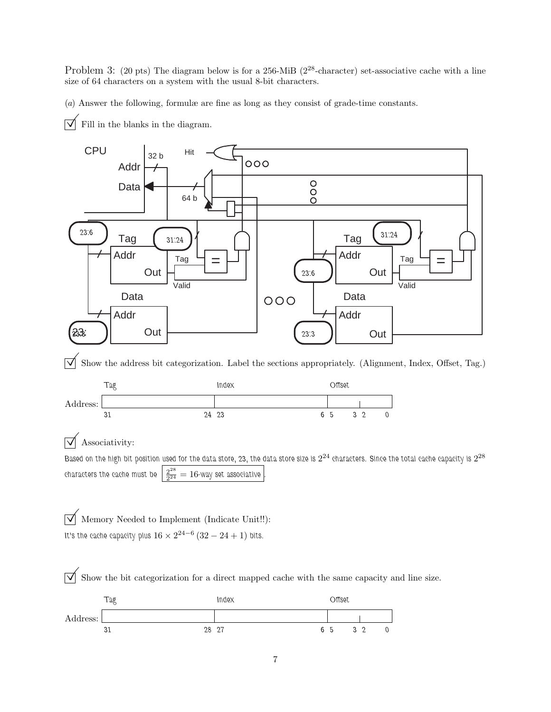Problem 3: (20 pts) The diagram below is for a 256-MiB (2<sup>28</sup>-character) set-associative cache with a line size of 64 characters on a system with the usual 8-bit characters.

(a) Answer the following, formulæ are fine as long as they consist of grade-time constants.

 $\overrightarrow{\bigvee}$  Fill in the blanks in the diagram.



 $\overline{\sqrt{\ }}$  Show the bit categorization for a direct mapped cache with the same capacity and line size.

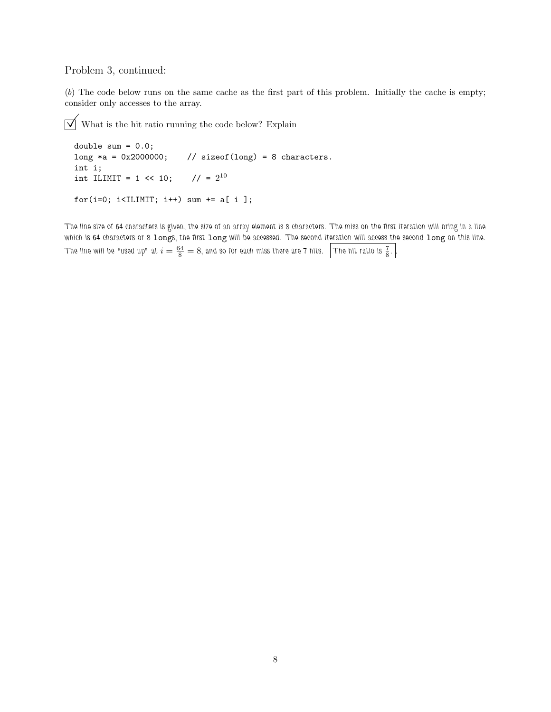## Problem 3, continued:

(b) The code below runs on the same cache as the first part of this problem. Initially the cache is empty; consider only accesses to the array.

 $\boxed{\bigvee\,}$  What is the hit ratio running the code below? Explain

```
double sum = 0.0;
long *a = 0x2000000; // sizeof(long) = 8 characters.
int i;
int ILIMIT = 1 \le 10;
                      1/ = 2^{10}for(i=0; i<ILIMIT; i++) sum += a[i];
```
The line size of 64 characters is given, the size of an array element is 8 characters. The miss on the first iteration will bring in a line which is 64 characters or 8 longs, the first long will be accessed. The second iteration will access the second long on this line. The line will be "used up" at  $i=\frac{64}{8}=8,$  and so for each miss there are 7 hits.  $~\boxed{}$  The hit ratio is  $\frac{7}{8}$ 8 . .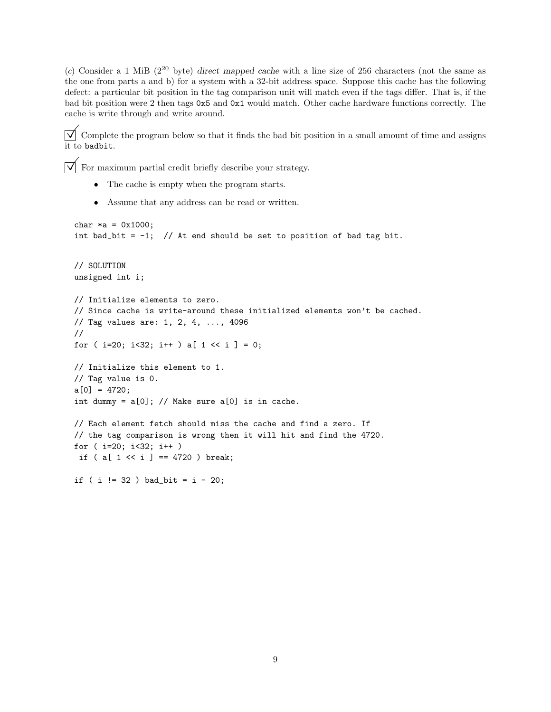(c) Consider a 1 MiB ( $2^{20}$  byte) direct mapped cache with a line size of 256 characters (not the same as the one from parts a and b) for a system with a 32-bit address space. Suppose this cache has the following defect: a particular bit position in the tag comparison unit will match even if the tags differ. That is, if the bad bit position were 2 then tags 0x5 and 0x1 would match. Other cache hardware functions correctly. The cache is write through and write around.

 $\overline{\bigvee}$  Complete the program below so that it finds the bad bit position in a small amount of time and assigns it to badbit.

 $\vert \overline{\sqrt{\ } \vert} \,$  For maximum partial credit briefly describe your strategy.

- The cache is empty when the program starts.
- Assume that any address can be read or written.

```
char *a = 0x1000;int bad_bit = -1; // At end should be set to position of bad tag bit.
// SOLUTION
unsigned int i;
// Initialize elements to zero.
// Since cache is write-around these initialized elements won't be cached.
// Tag values are: 1, 2, 4, ..., 4096
//
for (i=20; i<32; i++) a[1 < i] = 0;
// Initialize this element to 1.
// Tag value is 0.
a[0] = 4720;int dummy = a[0]; // Make sure a[0] is in cache.
// Each element fetch should miss the cache and find a zero. If
// the tag comparison is wrong then it will hit and find the 4720.
for ( i=20; i<32; i++ )
if (a [ 1 \le i ] == 4720) break;
if ( i != 32 ) bad_bit = i - 20;
```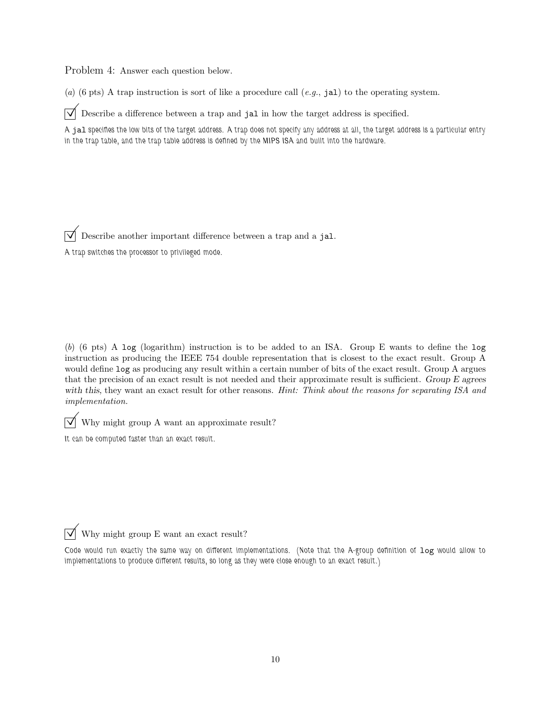Problem 4: Answer each question below.

(a) (6 pts) A trap instruction is sort of like a procedure call  $(e.g., jal)$  to the operating system.

 $\overrightarrow{\mathcal{A}}$  Describe a difference between a trap and jal in how the target address is specified.

A jal specifies the low bits of the target address. A trap does not specify any address at all, the target address is a particular entry in the trap table, and the trap table address is defined by the MIPS ISA and built into the hardware.

Describe another important difference between a trap and a jal.

A trap switches the processor to privileged mode.

(b) (6 pts) A log (logarithm) instruction is to be added to an ISA. Group E wants to define the log instruction as producing the IEEE 754 double representation that is closest to the exact result. Group A would define log as producing any result within a certain number of bits of the exact result. Group A argues that the precision of an exact result is not needed and their approximate result is sufficient. Group E agrees with this, they want an exact result for other reasons. Hint: Think about the reasons for separating ISA and implementation.

 $\overrightarrow{\mathsf{W}}$  Why might group A want an approximate result?

It can be computed faster than an exact result.

 $\sqrt{\phantom{a}}$  Why might group E want an exact result?

Code would run exactly the same way on different implementations. (Note that the A-group definition of log would allow to implementations to produce different results, so long as they were close enough to an exact result.)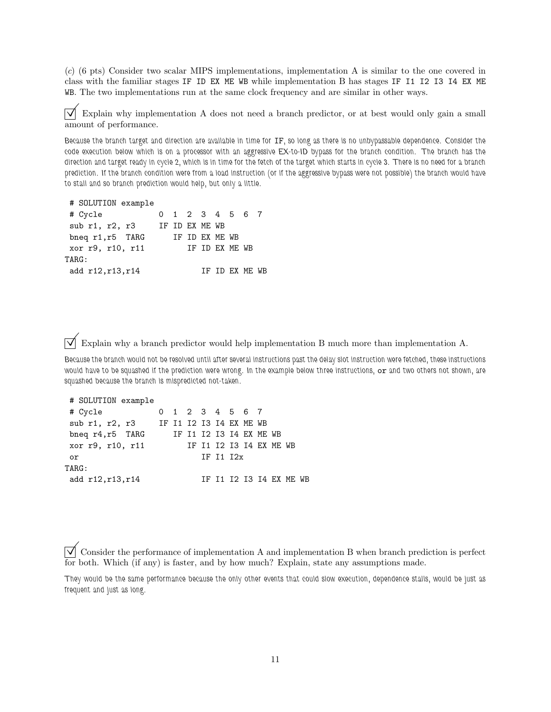(c) (6 pts) Consider two scalar MIPS implementations, implementation A is similar to the one covered in class with the familiar stages IF ID EX ME WB while implementation B has stages IF I1 I2 I3 I4 EX ME WB. The two implementations run at the same clock frequency and are similar in other ways.

 $\triangledown$  Explain why implementation A does not need a branch predictor, or at best would only gain a small amount of performance.

Because the branch target and direction are available in time for IF, so long as there is no unbypassable dependence. Consider the code execution below which is on a processor with an aggressive EX-to-ID bypass for the branch condition. The branch has the direction and target ready in cycle 2, which is in time for the fetch of the target which starts in cycle 3. There is no need for a branch prediction. If the branch condition were from a load instruction (or if the aggressive bypass were not possible) the branch would have to stall and so branch prediction would help, but only a little.

|  | # SOLUTION example |
|--|--------------------|
|  |                    |

| # Cycle                |                | 0 1 2 3 4 5 6 7 |                |  |  |
|------------------------|----------------|-----------------|----------------|--|--|
| sub $r1$ , $r2$ , $r3$ | IF ID EX ME WB |                 |                |  |  |
| bneq r1, r5 TARG       |                | IF ID EX ME WB  |                |  |  |
| xor r9, r10, r11       |                |                 | IF ID EX ME WB |  |  |
| $\texttt{TARG:}$       |                |                 |                |  |  |
| add r12,r13,r14        |                |                 | TF TD FX MF WB |  |  |
|                        |                |                 |                |  |  |

 $\overrightarrow{V}$  Explain why a branch predictor would help implementation B much more than implementation A.

Because the branch would not be resolved until after several instructions past the delay slot instruction were fetched, these instructions would have to be squashed if the prediction were wrong. In the example below three instructions, or and two others not shown, are squashed because the branch is mispredicted not-taken.

| # SOLUTION example                     |  |  |                         |  |  |                         |  |
|----------------------------------------|--|--|-------------------------|--|--|-------------------------|--|
| # Cycle                                |  |  | 0 1 2 3 4 5 6 7         |  |  |                         |  |
| sub r1, r2, r3 IF I1 I2 I3 I4 EX ME WB |  |  |                         |  |  |                         |  |
| bneq r4, r5 TARG                       |  |  | IF I1 I2 I3 I4 EX ME WB |  |  |                         |  |
| xor r9, r10, r11                       |  |  | IF I1 I2 I3 I4 EX ME WB |  |  |                         |  |
| or                                     |  |  | IF I1 I2x               |  |  |                         |  |
| $\mathtt{TARG:}$                       |  |  |                         |  |  |                         |  |
| add r12,r13,r14                        |  |  |                         |  |  | IF I1 I2 I3 I4 EX ME WB |  |

 $\overline{\vee}$  Consider the performance of implementation A and implementation B when branch prediction is perfect for both. Which (if any) is faster, and by how much? Explain, state any assumptions made.

They would be the same performance because the only other events that could slow execution, dependence stalls, would be just as frequent and just as long.